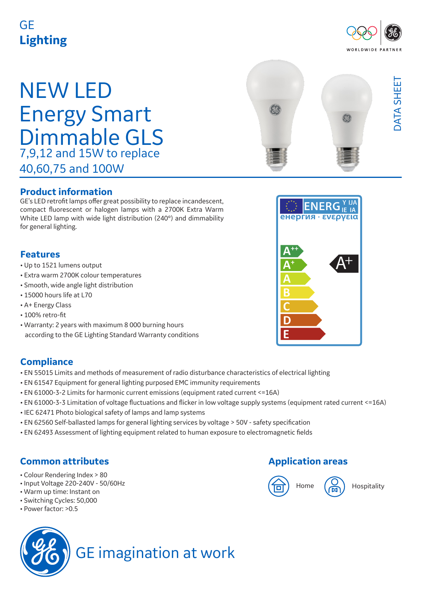# GE **Lighting**

# NEW LED Energy Smart Dimmable GLS 7,9,12 and 15W to replace 40,60,75 and 100W

#### **Product information**

GE's LED retrofit lamps offer great possibility to replace incandescent, compact fluorescent or halogen lamps with a 2700K Extra Warm White LED lamp with wide light distribution (240°) and dimmability for general lighting.

### **Features**

- Up to 1521 lumens output
- Extra warm 2700K colour temperatures
- Smooth, wide angle light distribution
- 15000 hours life at L70
- A+ Energy Class
- 100% retro-fit
- Warranty: 2 years with maximum 8 000 burning hours according to the GE Lighting Standard Warranty conditions

#### **Compliance**

- EN 55015 Limits and methods of measurement of radio disturbance characteristics of electrical lighting
- EN 61547 Equipment for general lighting purposed EMC immunity requirements
- EN 61000-3-2 Limits for harmonic current emissions (equipment rated current <=16A)
- EN 61000-3-3 Limitation of voltage fluctuations and flicker in low voltage supply systems (equipment rated current <=16A)
- IEC 62471 Photo biological safety of lamps and lamp systems
- EN 62560 Self-ballasted lamps for general lighting services by voltage > 50V safety specification
- EN 62493 Assessment of lighting equipment related to human exposure to electromagnetic fields

## **Common attributes**

- Colour Rendering Index > 80
- Input Voltage 220-240V 50/60Hz
- Warm up time: Instant on
- Switching Cycles: 50,000
- Power factor: >0.5

# GE imagination at work

## **Application areas**







DATA SHEET

DATA SHEET